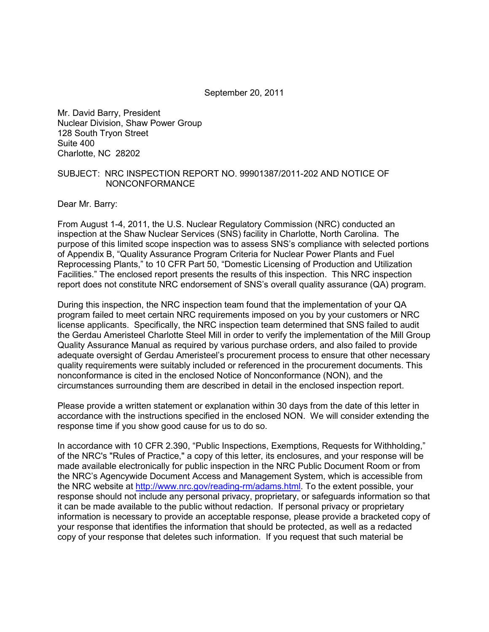September 20, 2011

Mr. David Barry, President Nuclear Division, Shaw Power Group 128 South Tryon Street Suite 400 Charlotte, NC 28202

#### SUBJECT: NRC INSPECTION REPORT NO. 99901387/2011-202 AND NOTICE OF NONCONFORMANCE

Dear Mr. Barry:

From August 1-4, 2011, the U.S. Nuclear Regulatory Commission (NRC) conducted an inspection at the Shaw Nuclear Services (SNS) facility in Charlotte, North Carolina. The purpose of this limited scope inspection was to assess SNS's compliance with selected portions of Appendix B, "Quality Assurance Program Criteria for Nuclear Power Plants and Fuel Reprocessing Plants," to 10 CFR Part 50, "Domestic Licensing of Production and Utilization Facilities." The enclosed report presents the results of this inspection. This NRC inspection report does not constitute NRC endorsement of SNS's overall quality assurance (QA) program.

During this inspection, the NRC inspection team found that the implementation of your QA program failed to meet certain NRC requirements imposed on you by your customers or NRC license applicants. Specifically, the NRC inspection team determined that SNS failed to audit the Gerdau Ameristeel Charlotte Steel Mill in order to verify the implementation of the Mill Group Quality Assurance Manual as required by various purchase orders, and also failed to provide adequate oversight of Gerdau Ameristeel's procurement process to ensure that other necessary quality requirements were suitably included or referenced in the procurement documents. This nonconformance is cited in the enclosed Notice of Nonconformance (NON), and the circumstances surrounding them are described in detail in the enclosed inspection report.

Please provide a written statement or explanation within 30 days from the date of this letter in accordance with the instructions specified in the enclosed NON. We will consider extending the response time if you show good cause for us to do so.

In accordance with 10 CFR 2.390, "Public Inspections, Exemptions, Requests for Withholding," of the NRC's "Rules of Practice," a copy of this letter, its enclosures, and your response will be made available electronically for public inspection in the NRC Public Document Room or from the NRC's Agencywide Document Access and Management System, which is accessible from the NRC website at http://www.nrc.gov/reading-rm/adams.html. To the extent possible, your response should not include any personal privacy, proprietary, or safeguards information so that it can be made available to the public without redaction. If personal privacy or proprietary information is necessary to provide an acceptable response, please provide a bracketed copy of your response that identifies the information that should be protected, as well as a redacted copy of your response that deletes such information. If you request that such material be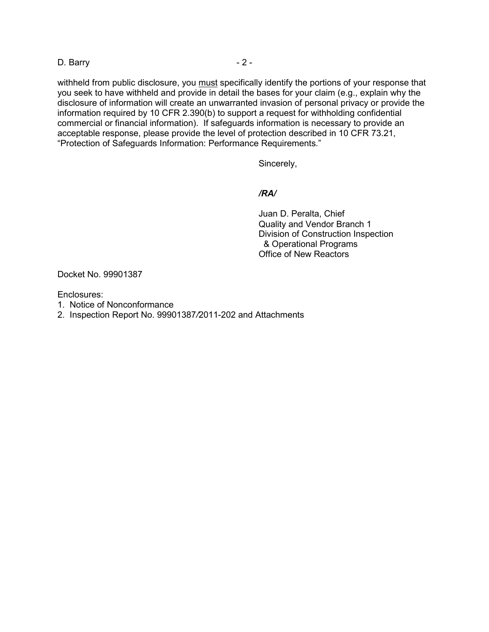D. Barry - 2 -

withheld from public disclosure, you must specifically identify the portions of your response that you seek to have withheld and provide in detail the bases for your claim (e.g., explain why the disclosure of information will create an unwarranted invasion of personal privacy or provide the information required by 10 CFR 2.390(b) to support a request for withholding confidential commercial or financial information). If safeguards information is necessary to provide an acceptable response, please provide the level of protection described in 10 CFR 73.21, "Protection of Safeguards Information: Performance Requirements."

Sincerely,

### */RA/*

 Juan D. Peralta, Chief Quality and Vendor Branch 1 Division of Construction Inspection & Operational Programs Office of New Reactors

Docket No. 99901387

Enclosures:

- 1. Notice of Nonconformance
- 2. Inspection Report No. 99901387*/*2011-202 and Attachments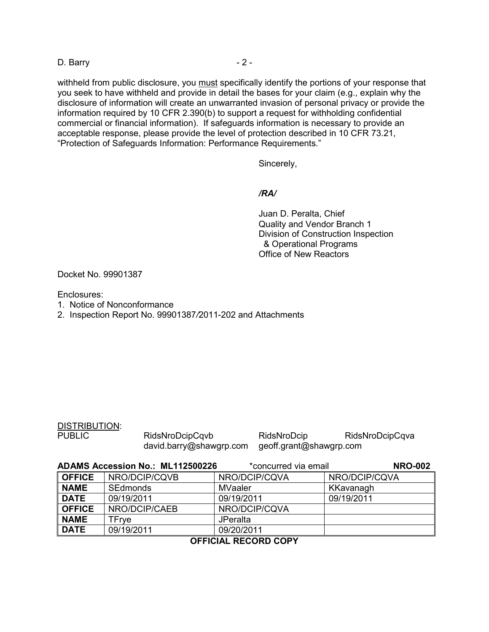D. Barry - 2 -

withheld from public disclosure, you must specifically identify the portions of your response that you seek to have withheld and provide in detail the bases for your claim (e.g., explain why the disclosure of information will create an unwarranted invasion of personal privacy or provide the information required by 10 CFR 2.390(b) to support a request for withholding confidential commercial or financial information). If safeguards information is necessary to provide an acceptable response, please provide the level of protection described in 10 CFR 73.21, "Protection of Safeguards Information: Performance Requirements."

Sincerely,

### */RA/*

 Juan D. Peralta, Chief Quality and Vendor Branch 1 Division of Construction Inspection & Operational Programs Office of New Reactors

Docket No. 99901387

Enclosures:

DISTRIBUTION:

- 1. Notice of Nonconformance
- 2. Inspection Report No. 99901387*/*2011-202 and Attachments

|               | <b>ADAMS Accession No.: ML112500226</b> | *concurred via email | <b>NRO-002</b> |
|---------------|-----------------------------------------|----------------------|----------------|
| <b>OFFICE</b> | NRO/DCIP/CQVB                           | NRO/DCIP/CQVA        | NRO/DCIP/CQVA  |
| <b>NAME</b>   | <b>SEdmonds</b>                         | MVaaler              | KKavanagh      |
| <b>DATE</b>   | 09/19/2011                              | 09/19/2011           | 09/19/2011     |
| <b>OFFICE</b> | NRO/DCIP/CAEB                           | NRO/DCIP/CQVA        |                |
| <b>NAME</b>   | TFrve                                   | JPeralta             |                |
| <b>DATE</b>   | 09/19/2011                              | 09/20/2011           |                |

david.barry@shawgrp.com geoff.grant@shawgrp.com

PUBLIC RidsNroDcipCqvb RidsNroDcip RidsNroDcipCqva

# **OFFICIAL RECORD COPY**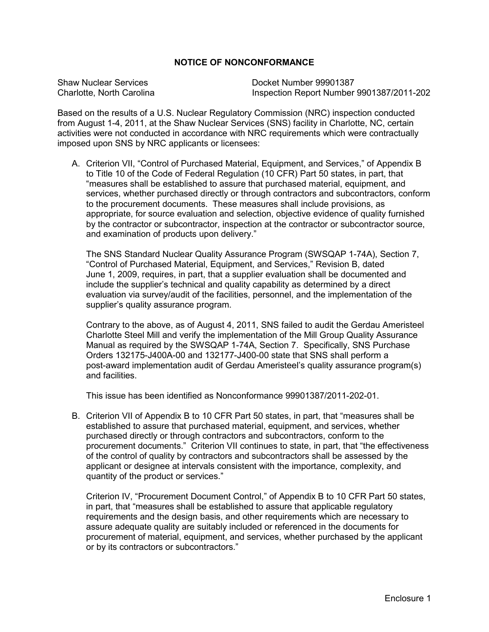# **NOTICE OF NONCONFORMANCE**

| <b>Shaw Nuclear Services</b> |  |
|------------------------------|--|
| Charlotte, North Carolina    |  |

Docket Number 99901387 Inspection Report Number 9901387/2011-202

Based on the results of a U.S. Nuclear Regulatory Commission (NRC) inspection conducted from August 1-4, 2011, at the Shaw Nuclear Services (SNS) facility in Charlotte, NC, certain activities were not conducted in accordance with NRC requirements which were contractually imposed upon SNS by NRC applicants or licensees:

A. Criterion VII, "Control of Purchased Material, Equipment, and Services," of Appendix B to Title 10 of the Code of Federal Regulation (10 CFR) Part 50 states, in part, that "measures shall be established to assure that purchased material, equipment, and services, whether purchased directly or through contractors and subcontractors, conform to the procurement documents. These measures shall include provisions, as appropriate, for source evaluation and selection, objective evidence of quality furnished by the contractor or subcontractor, inspection at the contractor or subcontractor source, and examination of products upon delivery."

The SNS Standard Nuclear Quality Assurance Program (SWSQAP 1-74A), Section 7, "Control of Purchased Material, Equipment, and Services," Revision B, dated June 1, 2009, requires, in part, that a supplier evaluation shall be documented and include the supplier's technical and quality capability as determined by a direct evaluation via survey/audit of the facilities, personnel, and the implementation of the supplier's quality assurance program.

Contrary to the above, as of August 4, 2011, SNS failed to audit the Gerdau Ameristeel Charlotte Steel Mill and verify the implementation of the Mill Group Quality Assurance Manual as required by the SWSQAP 1-74A, Section 7. Specifically, SNS Purchase Orders 132175-J400A-00 and 132177-J400-00 state that SNS shall perform a post-award implementation audit of Gerdau Ameristeel's quality assurance program(s) and facilities.

This issue has been identified as Nonconformance 99901387/2011-202-01.

B. Criterion VII of Appendix B to 10 CFR Part 50 states, in part, that "measures shall be established to assure that purchased material, equipment, and services, whether purchased directly or through contractors and subcontractors, conform to the procurement documents." Criterion VII continues to state, in part, that "the effectiveness of the control of quality by contractors and subcontractors shall be assessed by the applicant or designee at intervals consistent with the importance, complexity, and quantity of the product or services."

Criterion IV, "Procurement Document Control," of Appendix B to 10 CFR Part 50 states, in part, that "measures shall be established to assure that applicable regulatory requirements and the design basis, and other requirements which are necessary to assure adequate quality are suitably included or referenced in the documents for procurement of material, equipment, and services, whether purchased by the applicant or by its contractors or subcontractors."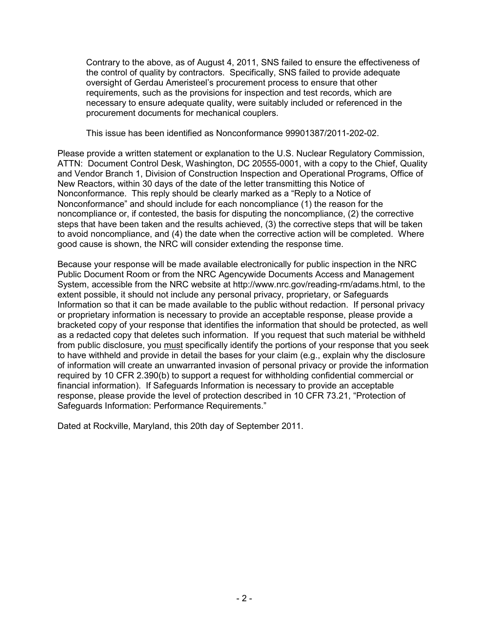Contrary to the above, as of August 4, 2011, SNS failed to ensure the effectiveness of the control of quality by contractors. Specifically, SNS failed to provide adequate oversight of Gerdau Ameristeel's procurement process to ensure that other requirements, such as the provisions for inspection and test records, which are necessary to ensure adequate quality, were suitably included or referenced in the procurement documents for mechanical couplers.

This issue has been identified as Nonconformance 99901387/2011-202-02.

Please provide a written statement or explanation to the U.S. Nuclear Regulatory Commission, ATTN: Document Control Desk, Washington, DC 20555-0001, with a copy to the Chief, Quality and Vendor Branch 1, Division of Construction Inspection and Operational Programs, Office of New Reactors, within 30 days of the date of the letter transmitting this Notice of Nonconformance. This reply should be clearly marked as a "Reply to a Notice of Nonconformance" and should include for each noncompliance (1) the reason for the noncompliance or, if contested, the basis for disputing the noncompliance, (2) the corrective steps that have been taken and the results achieved, (3) the corrective steps that will be taken to avoid noncompliance, and (4) the date when the corrective action will be completed. Where good cause is shown, the NRC will consider extending the response time.

Because your response will be made available electronically for public inspection in the NRC Public Document Room or from the NRC Agencywide Documents Access and Management System, accessible from the NRC website at http://www.nrc.gov/reading-rm/adams.html, to the extent possible, it should not include any personal privacy, proprietary, or Safeguards Information so that it can be made available to the public without redaction. If personal privacy or proprietary information is necessary to provide an acceptable response, please provide a bracketed copy of your response that identifies the information that should be protected, as well as a redacted copy that deletes such information. If you request that such material be withheld from public disclosure, you must specifically identify the portions of your response that you seek to have withheld and provide in detail the bases for your claim (e.g., explain why the disclosure of information will create an unwarranted invasion of personal privacy or provide the information required by 10 CFR 2.390(b) to support a request for withholding confidential commercial or financial information). If Safeguards Information is necessary to provide an acceptable response, please provide the level of protection described in 10 CFR 73.21, "Protection of Safeguards Information: Performance Requirements."

Dated at Rockville, Maryland, this 20th day of September 2011.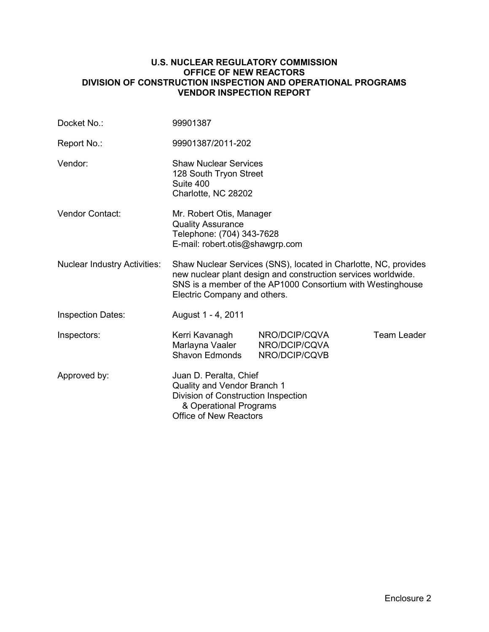### **U.S. NUCLEAR REGULATORY COMMISSION OFFICE OF NEW REACTORS DIVISION OF CONSTRUCTION INSPECTION AND OPERATIONAL PROGRAMS VENDOR INSPECTION REPORT**

| Docket No.:                         | 99901387                                                                                                                                                                                                                       |                                                 |             |
|-------------------------------------|--------------------------------------------------------------------------------------------------------------------------------------------------------------------------------------------------------------------------------|-------------------------------------------------|-------------|
| Report No.:                         | 99901387/2011-202                                                                                                                                                                                                              |                                                 |             |
| Vendor:                             | <b>Shaw Nuclear Services</b><br>128 South Tryon Street<br>Suite 400<br>Charlotte, NC 28202                                                                                                                                     |                                                 |             |
| <b>Vendor Contact:</b>              | Mr. Robert Otis, Manager<br><b>Quality Assurance</b><br>Telephone: (704) 343-7628<br>E-mail: robert.otis@shawgrp.com                                                                                                           |                                                 |             |
| <b>Nuclear Industry Activities:</b> | Shaw Nuclear Services (SNS), located in Charlotte, NC, provides<br>new nuclear plant design and construction services worldwide.<br>SNS is a member of the AP1000 Consortium with Westinghouse<br>Electric Company and others. |                                                 |             |
| <b>Inspection Dates:</b>            | August 1 - 4, 2011                                                                                                                                                                                                             |                                                 |             |
| Inspectors:                         | Kerri Kavanagh<br>Marlayna Vaaler<br><b>Shavon Edmonds</b>                                                                                                                                                                     | NRO/DCIP/CQVA<br>NRO/DCIP/CQVA<br>NRO/DCIP/CQVB | Team Leader |
| Approved by:                        | Juan D. Peralta, Chief<br>Quality and Vendor Branch 1<br>Division of Construction Inspection<br>& Operational Programs<br><b>Office of New Reactors</b>                                                                        |                                                 |             |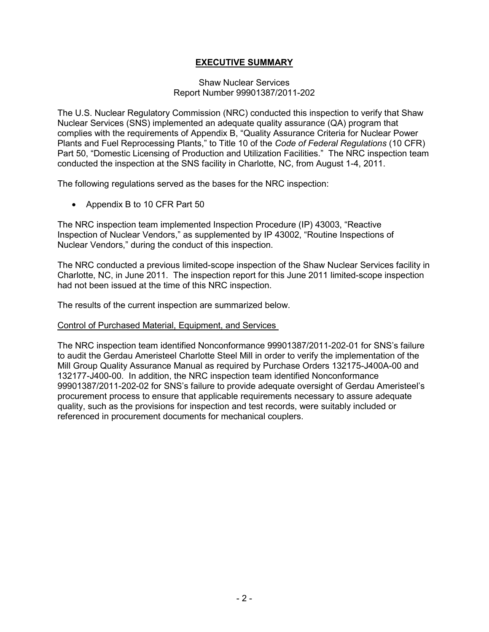# **EXECUTIVE SUMMARY**

#### Shaw Nuclear Services Report Number 99901387/2011-202

The U.S. Nuclear Regulatory Commission (NRC) conducted this inspection to verify that Shaw Nuclear Services (SNS) implemented an adequate quality assurance (QA) program that complies with the requirements of Appendix B, "Quality Assurance Criteria for Nuclear Power Plants and Fuel Reprocessing Plants," to Title 10 of the *Code of Federal Regulations* (10 CFR) Part 50, "Domestic Licensing of Production and Utilization Facilities." The NRC inspection team conducted the inspection at the SNS facility in Charlotte, NC, from August 1-4, 2011.

The following regulations served as the bases for the NRC inspection:

• Appendix B to 10 CFR Part 50

The NRC inspection team implemented Inspection Procedure (IP) 43003, "Reactive Inspection of Nuclear Vendors," as supplemented by IP 43002, "Routine Inspections of Nuclear Vendors," during the conduct of this inspection.

The NRC conducted a previous limited-scope inspection of the Shaw Nuclear Services facility in Charlotte, NC, in June 2011. The inspection report for this June 2011 limited-scope inspection had not been issued at the time of this NRC inspection.

The results of the current inspection are summarized below.

# Control of Purchased Material, Equipment, and Services

The NRC inspection team identified Nonconformance 99901387/2011-202-01 for SNS's failure to audit the Gerdau Ameristeel Charlotte Steel Mill in order to verify the implementation of the Mill Group Quality Assurance Manual as required by Purchase Orders 132175-J400A-00 and 132177-J400-00. In addition, the NRC inspection team identified Nonconformance 99901387/2011-202-02 for SNS's failure to provide adequate oversight of Gerdau Ameristeel's procurement process to ensure that applicable requirements necessary to assure adequate quality, such as the provisions for inspection and test records, were suitably included or referenced in procurement documents for mechanical couplers.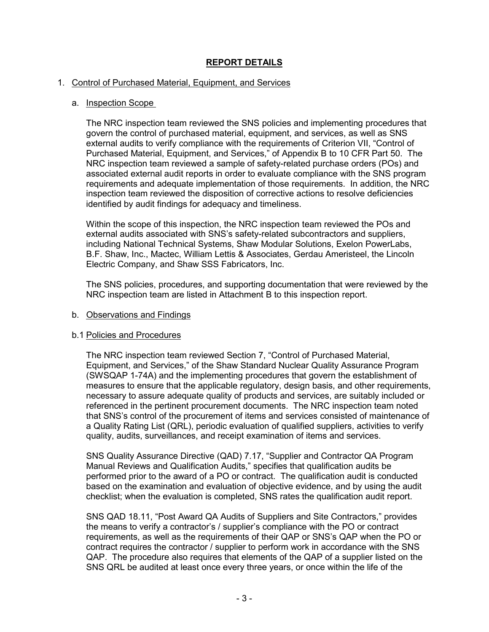# **REPORT DETAILS**

# 1. Control of Purchased Material, Equipment, and Services

### a. Inspection Scope

The NRC inspection team reviewed the SNS policies and implementing procedures that govern the control of purchased material, equipment, and services, as well as SNS external audits to verify compliance with the requirements of Criterion VII, "Control of Purchased Material, Equipment, and Services," of Appendix B to 10 CFR Part 50. The NRC inspection team reviewed a sample of safety-related purchase orders (POs) and associated external audit reports in order to evaluate compliance with the SNS program requirements and adequate implementation of those requirements. In addition, the NRC inspection team reviewed the disposition of corrective actions to resolve deficiencies identified by audit findings for adequacy and timeliness.

Within the scope of this inspection, the NRC inspection team reviewed the POs and external audits associated with SNS's safety-related subcontractors and suppliers, including National Technical Systems, Shaw Modular Solutions, Exelon PowerLabs, B.F. Shaw, Inc., Mactec, William Lettis & Associates, Gerdau Ameristeel, the Lincoln Electric Company, and Shaw SSS Fabricators, Inc.

The SNS policies, procedures, and supporting documentation that were reviewed by the NRC inspection team are listed in Attachment B to this inspection report.

#### b. Observations and Findings

#### b.1 Policies and Procedures

The NRC inspection team reviewed Section 7, "Control of Purchased Material, Equipment, and Services," of the Shaw Standard Nuclear Quality Assurance Program (SWSQAP 1-74A) and the implementing procedures that govern the establishment of measures to ensure that the applicable regulatory, design basis, and other requirements, necessary to assure adequate quality of products and services, are suitably included or referenced in the pertinent procurement documents. The NRC inspection team noted that SNS's control of the procurement of items and services consisted of maintenance of a Quality Rating List (QRL), periodic evaluation of qualified suppliers, activities to verify quality, audits, surveillances, and receipt examination of items and services.

SNS Quality Assurance Directive (QAD) 7.17, "Supplier and Contractor QA Program Manual Reviews and Qualification Audits," specifies that qualification audits be performed prior to the award of a PO or contract. The qualification audit is conducted based on the examination and evaluation of objective evidence, and by using the audit checklist; when the evaluation is completed, SNS rates the qualification audit report.

SNS QAD 18.11, "Post Award QA Audits of Suppliers and Site Contractors," provides the means to verify a contractor's / supplier's compliance with the PO or contract requirements, as well as the requirements of their QAP or SNS's QAP when the PO or contract requires the contractor / supplier to perform work in accordance with the SNS QAP. The procedure also requires that elements of the QAP of a supplier listed on the SNS QRL be audited at least once every three years, or once within the life of the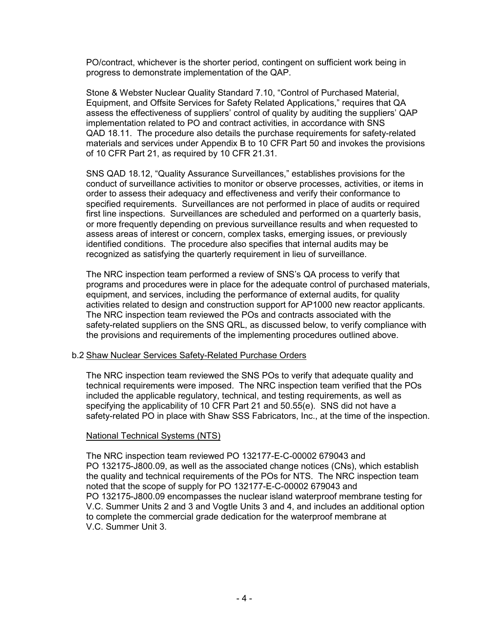PO/contract, whichever is the shorter period, contingent on sufficient work being in progress to demonstrate implementation of the QAP.

Stone & Webster Nuclear Quality Standard 7.10, "Control of Purchased Material, Equipment, and Offsite Services for Safety Related Applications," requires that QA assess the effectiveness of suppliers' control of quality by auditing the suppliers' QAP implementation related to PO and contract activities, in accordance with SNS QAD 18.11. The procedure also details the purchase requirements for safety-related materials and services under Appendix B to 10 CFR Part 50 and invokes the provisions of 10 CFR Part 21, as required by 10 CFR 21.31.

SNS QAD 18.12, "Quality Assurance Surveillances," establishes provisions for the conduct of surveillance activities to monitor or observe processes, activities, or items in order to assess their adequacy and effectiveness and verify their conformance to specified requirements. Surveillances are not performed in place of audits or required first line inspections. Surveillances are scheduled and performed on a quarterly basis, or more frequently depending on previous surveillance results and when requested to assess areas of interest or concern, complex tasks, emerging issues, or previously identified conditions. The procedure also specifies that internal audits may be recognized as satisfying the quarterly requirement in lieu of surveillance.

The NRC inspection team performed a review of SNS's QA process to verify that programs and procedures were in place for the adequate control of purchased materials, equipment, and services, including the performance of external audits, for quality activities related to design and construction support for AP1000 new reactor applicants. The NRC inspection team reviewed the POs and contracts associated with the safety-related suppliers on the SNS QRL, as discussed below, to verify compliance with the provisions and requirements of the implementing procedures outlined above.

#### b.2 Shaw Nuclear Services Safety-Related Purchase Orders

The NRC inspection team reviewed the SNS POs to verify that adequate quality and technical requirements were imposed. The NRC inspection team verified that the POs included the applicable regulatory, technical, and testing requirements, as well as specifying the applicability of 10 CFR Part 21 and 50.55(e). SNS did not have a safety-related PO in place with Shaw SSS Fabricators, Inc., at the time of the inspection.

# National Technical Systems (NTS)

The NRC inspection team reviewed PO 132177-E-C-00002 679043 and PO 132175-J800.09, as well as the associated change notices (CNs), which establish the quality and technical requirements of the POs for NTS. The NRC inspection team noted that the scope of supply for PO 132177-E-C-00002 679043 and PO 132175-J800.09 encompasses the nuclear island waterproof membrane testing for V.C. Summer Units 2 and 3 and Vogtle Units 3 and 4, and includes an additional option to complete the commercial grade dedication for the waterproof membrane at V.C. Summer Unit 3.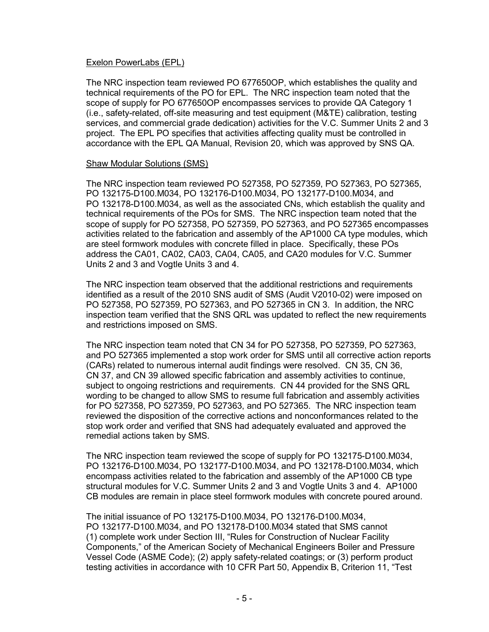# Exelon PowerLabs (EPL)

The NRC inspection team reviewed PO 677650OP, which establishes the quality and technical requirements of the PO for EPL. The NRC inspection team noted that the scope of supply for PO 677650OP encompasses services to provide QA Category 1 (i.e., safety-related, off-site measuring and test equipment (M&TE) calibration, testing services, and commercial grade dedication) activities for the V.C. Summer Units 2 and 3 project. The EPL PO specifies that activities affecting quality must be controlled in accordance with the EPL QA Manual, Revision 20, which was approved by SNS QA.

#### Shaw Modular Solutions (SMS)

The NRC inspection team reviewed PO 527358, PO 527359, PO 527363, PO 527365, PO 132175-D100.M034, PO 132176-D100.M034, PO 132177-D100.M034, and PO 132178-D100.M034, as well as the associated CNs, which establish the quality and technical requirements of the POs for SMS. The NRC inspection team noted that the scope of supply for PO 527358, PO 527359, PO 527363, and PO 527365 encompasses activities related to the fabrication and assembly of the AP1000 CA type modules, which are steel formwork modules with concrete filled in place. Specifically, these POs address the CA01, CA02, CA03, CA04, CA05, and CA20 modules for V.C. Summer Units 2 and 3 and Vogtle Units 3 and 4.

The NRC inspection team observed that the additional restrictions and requirements identified as a result of the 2010 SNS audit of SMS (Audit V2010-02) were imposed on PO 527358, PO 527359, PO 527363, and PO 527365 in CN 3. In addition, the NRC inspection team verified that the SNS QRL was updated to reflect the new requirements and restrictions imposed on SMS.

The NRC inspection team noted that CN 34 for PO 527358, PO 527359, PO 527363, and PO 527365 implemented a stop work order for SMS until all corrective action reports (CARs) related to numerous internal audit findings were resolved. CN 35, CN 36, CN 37, and CN 39 allowed specific fabrication and assembly activities to continue, subject to ongoing restrictions and requirements. CN 44 provided for the SNS QRL wording to be changed to allow SMS to resume full fabrication and assembly activities for PO 527358, PO 527359, PO 527363, and PO 527365. The NRC inspection team reviewed the disposition of the corrective actions and nonconformances related to the stop work order and verified that SNS had adequately evaluated and approved the remedial actions taken by SMS.

The NRC inspection team reviewed the scope of supply for PO 132175-D100.M034, PO 132176-D100.M034, PO 132177-D100.M034, and PO 132178-D100.M034, which encompass activities related to the fabrication and assembly of the AP1000 CB type structural modules for V.C. Summer Units 2 and 3 and Vogtle Units 3 and 4. AP1000 CB modules are remain in place steel formwork modules with concrete poured around.

The initial issuance of PO 132175-D100.M034, PO 132176-D100.M034, PO 132177-D100.M034, and PO 132178-D100.M034 stated that SMS cannot (1) complete work under Section III, "Rules for Construction of Nuclear Facility Components," of the American Society of Mechanical Engineers Boiler and Pressure Vessel Code (ASME Code); (2) apply safety-related coatings; or (3) perform product testing activities in accordance with 10 CFR Part 50, Appendix B, Criterion 11, "Test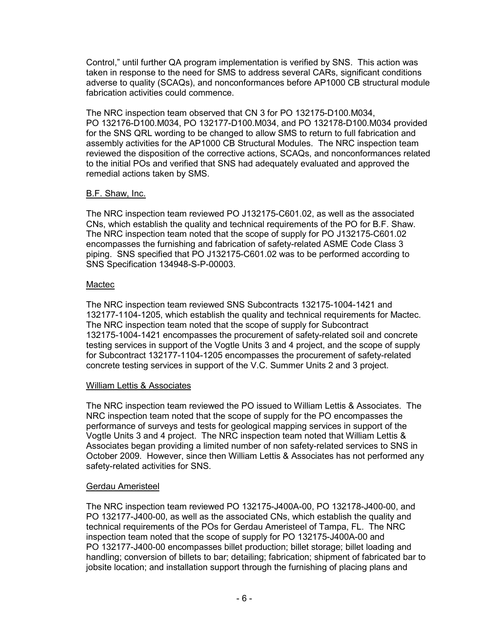Control," until further QA program implementation is verified by SNS. This action was taken in response to the need for SMS to address several CARs, significant conditions adverse to quality (SCAQs), and nonconformances before AP1000 CB structural module fabrication activities could commence.

The NRC inspection team observed that CN 3 for PO 132175-D100.M034, PO 132176-D100.M034, PO 132177-D100.M034, and PO 132178-D100.M034 provided for the SNS QRL wording to be changed to allow SMS to return to full fabrication and assembly activities for the AP1000 CB Structural Modules. The NRC inspection team reviewed the disposition of the corrective actions, SCAQs, and nonconformances related to the initial POs and verified that SNS had adequately evaluated and approved the remedial actions taken by SMS.

# B.F. Shaw, Inc.

The NRC inspection team reviewed PO J132175-C601.02, as well as the associated CNs, which establish the quality and technical requirements of the PO for B.F. Shaw. The NRC inspection team noted that the scope of supply for PO J132175-C601.02 encompasses the furnishing and fabrication of safety-related ASME Code Class 3 piping. SNS specified that PO J132175-C601.02 was to be performed according to SNS Specification 134948-S-P-00003.

# Mactec

The NRC inspection team reviewed SNS Subcontracts 132175-1004-1421 and 132177-1104-1205, which establish the quality and technical requirements for Mactec. The NRC inspection team noted that the scope of supply for Subcontract 132175-1004-1421 encompasses the procurement of safety-related soil and concrete testing services in support of the Vogtle Units 3 and 4 project, and the scope of supply for Subcontract 132177-1104-1205 encompasses the procurement of safety-related concrete testing services in support of the V.C. Summer Units 2 and 3 project.

# William Lettis & Associates

The NRC inspection team reviewed the PO issued to William Lettis & Associates. The NRC inspection team noted that the scope of supply for the PO encompasses the performance of surveys and tests for geological mapping services in support of the Vogtle Units 3 and 4 project. The NRC inspection team noted that William Lettis & Associates began providing a limited number of non safety-related services to SNS in October 2009. However, since then William Lettis & Associates has not performed any safety-related activities for SNS.

# Gerdau Ameristeel

The NRC inspection team reviewed PO 132175-J400A-00, PO 132178-J400-00, and PO 132177-J400-00, as well as the associated CNs, which establish the quality and technical requirements of the POs for Gerdau Ameristeel of Tampa, FL. The NRC inspection team noted that the scope of supply for PO 132175-J400A-00 and PO 132177-J400-00 encompasses billet production; billet storage; billet loading and handling; conversion of billets to bar; detailing; fabrication; shipment of fabricated bar to jobsite location; and installation support through the furnishing of placing plans and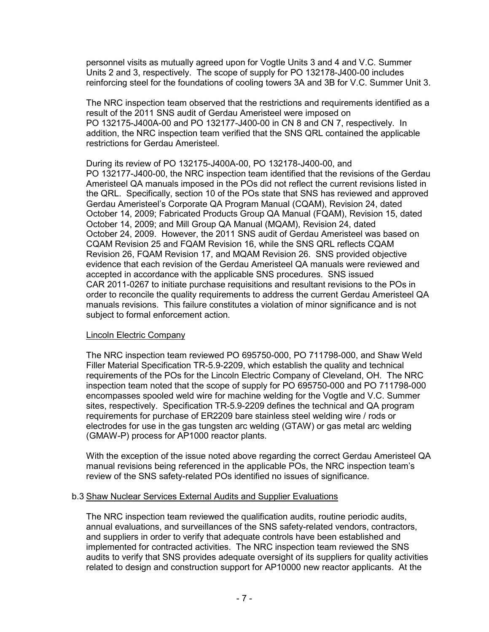personnel visits as mutually agreed upon for Vogtle Units 3 and 4 and V.C. Summer Units 2 and 3, respectively. The scope of supply for PO 132178-J400-00 includes reinforcing steel for the foundations of cooling towers 3A and 3B for V.C. Summer Unit 3.

The NRC inspection team observed that the restrictions and requirements identified as a result of the 2011 SNS audit of Gerdau Ameristeel were imposed on PO 132175-J400A-00 and PO 132177-J400-00 in CN 8 and CN 7, respectively. In addition, the NRC inspection team verified that the SNS QRL contained the applicable restrictions for Gerdau Ameristeel.

During its review of PO 132175-J400A-00, PO 132178-J400-00, and PO 132177-J400-00, the NRC inspection team identified that the revisions of the Gerdau Ameristeel QA manuals imposed in the POs did not reflect the current revisions listed in the QRL. Specifically, section 10 of the POs state that SNS has reviewed and approved Gerdau Ameristeel's Corporate QA Program Manual (CQAM), Revision 24, dated October 14, 2009; Fabricated Products Group QA Manual (FQAM), Revision 15, dated October 14, 2009; and Mill Group QA Manual (MQAM), Revision 24, dated October 24, 2009. However, the 2011 SNS audit of Gerdau Ameristeel was based on CQAM Revision 25 and FQAM Revision 16, while the SNS QRL reflects CQAM Revision 26, FQAM Revision 17, and MQAM Revision 26. SNS provided objective evidence that each revision of the Gerdau Ameristeel QA manuals were reviewed and accepted in accordance with the applicable SNS procedures. SNS issued CAR 2011-0267 to initiate purchase requisitions and resultant revisions to the POs in order to reconcile the quality requirements to address the current Gerdau Ameristeel QA manuals revisions. This failure constitutes a violation of minor significance and is not subject to formal enforcement action.

# Lincoln Electric Company

The NRC inspection team reviewed PO 695750-000, PO 711798-000, and Shaw Weld Filler Material Specification TR-5.9-2209, which establish the quality and technical requirements of the POs for the Lincoln Electric Company of Cleveland, OH. The NRC inspection team noted that the scope of supply for PO 695750-000 and PO 711798-000 encompasses spooled weld wire for machine welding for the Vogtle and V.C. Summer sites, respectively. Specification TR-5.9-2209 defines the technical and QA program requirements for purchase of ER2209 bare stainless steel welding wire / rods or electrodes for use in the gas tungsten arc welding (GTAW) or gas metal arc welding (GMAW-P) process for AP1000 reactor plants.

With the exception of the issue noted above regarding the correct Gerdau Ameristeel QA manual revisions being referenced in the applicable POs, the NRC inspection team's review of the SNS safety-related POs identified no issues of significance.

# b.3 Shaw Nuclear Services External Audits and Supplier Evaluations

The NRC inspection team reviewed the qualification audits, routine periodic audits, annual evaluations, and surveillances of the SNS safety-related vendors, contractors, and suppliers in order to verify that adequate controls have been established and implemented for contracted activities. The NRC inspection team reviewed the SNS audits to verify that SNS provides adequate oversight of its suppliers for quality activities related to design and construction support for AP10000 new reactor applicants. At the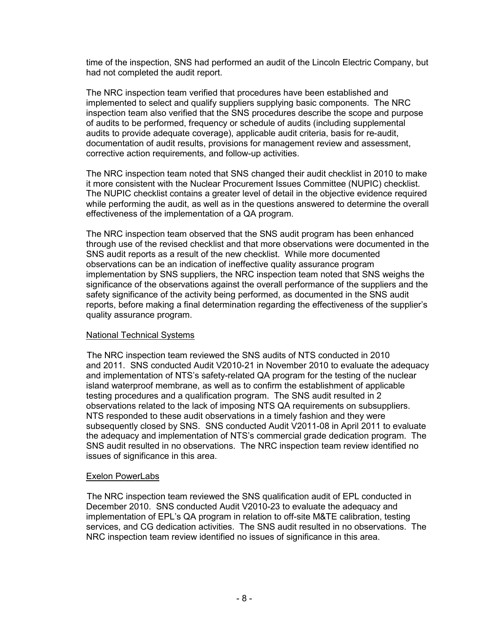time of the inspection, SNS had performed an audit of the Lincoln Electric Company, but had not completed the audit report.

The NRC inspection team verified that procedures have been established and implemented to select and qualify suppliers supplying basic components. The NRC inspection team also verified that the SNS procedures describe the scope and purpose of audits to be performed, frequency or schedule of audits (including supplemental audits to provide adequate coverage), applicable audit criteria, basis for re-audit, documentation of audit results, provisions for management review and assessment, corrective action requirements, and follow-up activities.

The NRC inspection team noted that SNS changed their audit checklist in 2010 to make it more consistent with the Nuclear Procurement Issues Committee (NUPIC) checklist. The NUPIC checklist contains a greater level of detail in the objective evidence required while performing the audit, as well as in the questions answered to determine the overall effectiveness of the implementation of a QA program.

The NRC inspection team observed that the SNS audit program has been enhanced through use of the revised checklist and that more observations were documented in the SNS audit reports as a result of the new checklist. While more documented observations can be an indication of ineffective quality assurance program implementation by SNS suppliers, the NRC inspection team noted that SNS weighs the significance of the observations against the overall performance of the suppliers and the safety significance of the activity being performed, as documented in the SNS audit reports, before making a final determination regarding the effectiveness of the supplier's quality assurance program.

#### National Technical Systems

The NRC inspection team reviewed the SNS audits of NTS conducted in 2010 and 2011. SNS conducted Audit V2010-21 in November 2010 to evaluate the adequacy and implementation of NTS's safety-related QA program for the testing of the nuclear island waterproof membrane, as well as to confirm the establishment of applicable testing procedures and a qualification program. The SNS audit resulted in 2 observations related to the lack of imposing NTS QA requirements on subsuppliers. NTS responded to these audit observations in a timely fashion and they were subsequently closed by SNS. SNS conducted Audit V2011-08 in April 2011 to evaluate the adequacy and implementation of NTS's commercial grade dedication program. The SNS audit resulted in no observations. The NRC inspection team review identified no issues of significance in this area.

#### Exelon PowerLabs

The NRC inspection team reviewed the SNS qualification audit of EPL conducted in December 2010. SNS conducted Audit V2010-23 to evaluate the adequacy and implementation of EPL's QA program in relation to off-site M&TE calibration, testing services, and CG dedication activities. The SNS audit resulted in no observations. The NRC inspection team review identified no issues of significance in this area.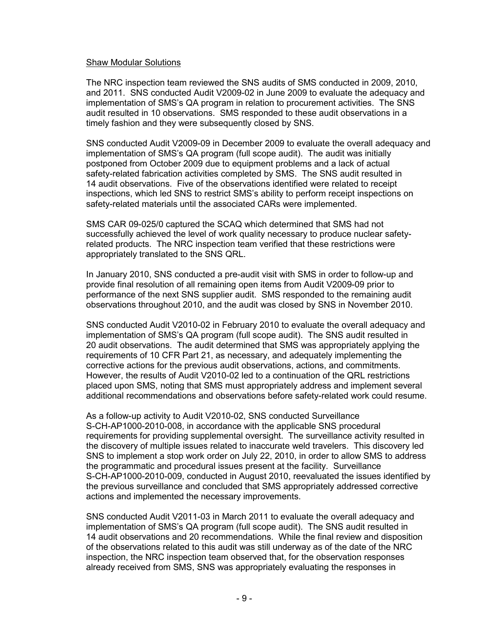### Shaw Modular Solutions

The NRC inspection team reviewed the SNS audits of SMS conducted in 2009, 2010, and 2011. SNS conducted Audit V2009-02 in June 2009 to evaluate the adequacy and implementation of SMS's QA program in relation to procurement activities. The SNS audit resulted in 10 observations. SMS responded to these audit observations in a timely fashion and they were subsequently closed by SNS.

SNS conducted Audit V2009-09 in December 2009 to evaluate the overall adequacy and implementation of SMS's QA program (full scope audit). The audit was initially postponed from October 2009 due to equipment problems and a lack of actual safety-related fabrication activities completed by SMS. The SNS audit resulted in 14 audit observations. Five of the observations identified were related to receipt inspections, which led SNS to restrict SMS's ability to perform receipt inspections on safety-related materials until the associated CARs were implemented.

SMS CAR 09-025/0 captured the SCAQ which determined that SMS had not successfully achieved the level of work quality necessary to produce nuclear safetyrelated products. The NRC inspection team verified that these restrictions were appropriately translated to the SNS QRL.

In January 2010, SNS conducted a pre-audit visit with SMS in order to follow-up and provide final resolution of all remaining open items from Audit V2009-09 prior to performance of the next SNS supplier audit. SMS responded to the remaining audit observations throughout 2010, and the audit was closed by SNS in November 2010.

SNS conducted Audit V2010-02 in February 2010 to evaluate the overall adequacy and implementation of SMS's QA program (full scope audit). The SNS audit resulted in 20 audit observations. The audit determined that SMS was appropriately applying the requirements of 10 CFR Part 21, as necessary, and adequately implementing the corrective actions for the previous audit observations, actions, and commitments. However, the results of Audit V2010-02 led to a continuation of the QRL restrictions placed upon SMS, noting that SMS must appropriately address and implement several additional recommendations and observations before safety-related work could resume.

As a follow-up activity to Audit V2010-02, SNS conducted Surveillance S-CH-AP1000-2010-008, in accordance with the applicable SNS procedural requirements for providing supplemental oversight. The surveillance activity resulted in the discovery of multiple issues related to inaccurate weld travelers. This discovery led SNS to implement a stop work order on July 22, 2010, in order to allow SMS to address the programmatic and procedural issues present at the facility. Surveillance S-CH-AP1000-2010-009, conducted in August 2010, reevaluated the issues identified by the previous surveillance and concluded that SMS appropriately addressed corrective actions and implemented the necessary improvements.

SNS conducted Audit V2011-03 in March 2011 to evaluate the overall adequacy and implementation of SMS's QA program (full scope audit). The SNS audit resulted in 14 audit observations and 20 recommendations. While the final review and disposition of the observations related to this audit was still underway as of the date of the NRC inspection, the NRC inspection team observed that, for the observation responses already received from SMS, SNS was appropriately evaluating the responses in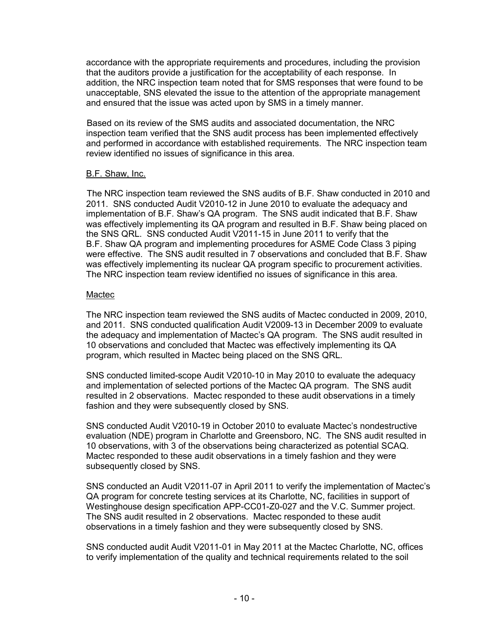accordance with the appropriate requirements and procedures, including the provision that the auditors provide a justification for the acceptability of each response. In addition, the NRC inspection team noted that for SMS responses that were found to be unacceptable, SNS elevated the issue to the attention of the appropriate management and ensured that the issue was acted upon by SMS in a timely manner.

Based on its review of the SMS audits and associated documentation, the NRC inspection team verified that the SNS audit process has been implemented effectively and performed in accordance with established requirements. The NRC inspection team review identified no issues of significance in this area.

# B.F. Shaw, Inc.

The NRC inspection team reviewed the SNS audits of B.F. Shaw conducted in 2010 and 2011. SNS conducted Audit V2010-12 in June 2010 to evaluate the adequacy and implementation of B.F. Shaw's QA program. The SNS audit indicated that B.F. Shaw was effectively implementing its QA program and resulted in B.F. Shaw being placed on the SNS QRL. SNS conducted Audit V2011*-*15 in June 2011 to verify that the B.F. Shaw QA program and implementing procedures for ASME Code Class 3 piping were effective. The SNS audit resulted in 7 observations and concluded that B.F. Shaw was effectively implementing its nuclear QA program specific to procurement activities. The NRC inspection team review identified no issues of significance in this area.

# Mactec

The NRC inspection team reviewed the SNS audits of Mactec conducted in 2009, 2010, and 2011. SNS conducted qualification Audit V2009-13 in December 2009 to evaluate the adequacy and implementation of Mactec's QA program. The SNS audit resulted in 10 observations and concluded that Mactec was effectively implementing its QA program, which resulted in Mactec being placed on the SNS QRL.

SNS conducted limited-scope Audit V2010-10 in May 2010 to evaluate the adequacy and implementation of selected portions of the Mactec QA program. The SNS audit resulted in 2 observations. Mactec responded to these audit observations in a timely fashion and they were subsequently closed by SNS.

SNS conducted Audit V2010-19 in October 2010 to evaluate Mactec's nondestructive evaluation (NDE) program in Charlotte and Greensboro, NC. The SNS audit resulted in 10 observations, with 3 of the observations being characterized as potential SCAQ. Mactec responded to these audit observations in a timely fashion and they were subsequently closed by SNS.

SNS conducted an Audit V2011-07 in April 2011 to verify the implementation of Mactec's QA program for concrete testing services at its Charlotte, NC, facilities in support of Westinghouse design specification APP-CC01-Z0-027 and the V.C. Summer project. The SNS audit resulted in 2 observations. Mactec responded to these audit observations in a timely fashion and they were subsequently closed by SNS.

SNS conducted audit Audit V2011-01 in May 2011 at the Mactec Charlotte, NC, offices to verify implementation of the quality and technical requirements related to the soil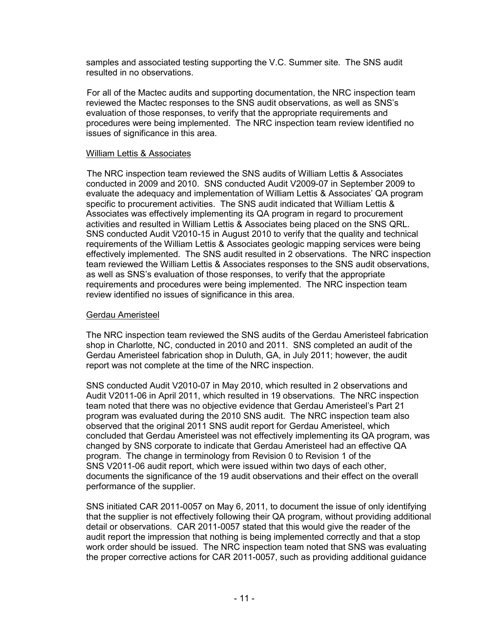samples and associated testing supporting the V.C. Summer site. The SNS audit resulted in no observations.

For all of the Mactec audits and supporting documentation, the NRC inspection team reviewed the Mactec responses to the SNS audit observations, as well as SNS's evaluation of those responses, to verify that the appropriate requirements and procedures were being implemented. The NRC inspection team review identified no issues of significance in this area.

# William Lettis & Associates

The NRC inspection team reviewed the SNS audits of William Lettis & Associates conducted in 2009 and 2010. SNS conducted Audit V2009-07 in September 2009 to evaluate the adequacy and implementation of William Lettis & Associates' QA program specific to procurement activities. The SNS audit indicated that William Lettis & Associates was effectively implementing its QA program in regard to procurement activities and resulted in William Lettis & Associates being placed on the SNS QRL. SNS conducted Audit V2010*-*15 in August 2010 to verify that the quality and technical requirements of the William Lettis & Associates geologic mapping services were being effectively implemented. The SNS audit resulted in 2 observations. The NRC inspection team reviewed the William Lettis & Associates responses to the SNS audit observations, as well as SNS's evaluation of those responses, to verify that the appropriate requirements and procedures were being implemented. The NRC inspection team review identified no issues of significance in this area.

# Gerdau Ameristeel

The NRC inspection team reviewed the SNS audits of the Gerdau Ameristeel fabrication shop in Charlotte, NC, conducted in 2010 and 2011. SNS completed an audit of the Gerdau Ameristeel fabrication shop in Duluth, GA, in July 2011; however, the audit report was not complete at the time of the NRC inspection.

SNS conducted Audit V2010-07 in May 2010, which resulted in 2 observations and Audit V2011-06 in April 2011, which resulted in 19 observations. The NRC inspection team noted that there was no objective evidence that Gerdau Ameristeel's Part 21 program was evaluated during the 2010 SNS audit. The NRC inspection team also observed that the original 2011 SNS audit report for Gerdau Ameristeel, which concluded that Gerdau Ameristeel was not effectively implementing its QA program, was changed by SNS corporate to indicate that Gerdau Ameristeel had an effective QA program. The change in terminology from Revision 0 to Revision 1 of the SNS V2011-06 audit report, which were issued within two days of each other, documents the significance of the 19 audit observations and their effect on the overall performance of the supplier.

SNS initiated CAR 2011-0057 on May 6, 2011, to document the issue of only identifying that the supplier is not effectively following their QA program, without providing additional detail or observations. CAR 2011-0057 stated that this would give the reader of the audit report the impression that nothing is being implemented correctly and that a stop work order should be issued. The NRC inspection team noted that SNS was evaluating the proper corrective actions for CAR 2011-0057, such as providing additional guidance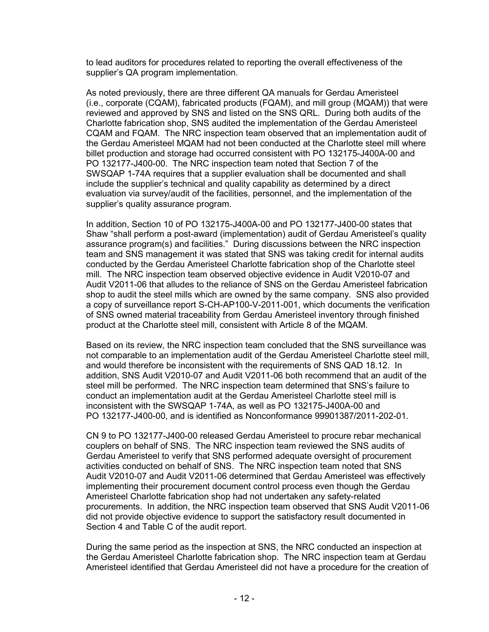to lead auditors for procedures related to reporting the overall effectiveness of the supplier's QA program implementation.

As noted previously, there are three different QA manuals for Gerdau Ameristeel (i.e., corporate (CQAM), fabricated products (FQAM), and mill group (MQAM)) that were reviewed and approved by SNS and listed on the SNS QRL. During both audits of the Charlotte fabrication shop, SNS audited the implementation of the Gerdau Ameristeel CQAM and FQAM. The NRC inspection team observed that an implementation audit of the Gerdau Ameristeel MQAM had not been conducted at the Charlotte steel mill where billet production and storage had occurred consistent with PO 132175-J400A-00 and PO 132177-J400-00. The NRC inspection team noted that Section 7 of the SWSQAP 1-74A requires that a supplier evaluation shall be documented and shall include the supplier's technical and quality capability as determined by a direct evaluation via survey/audit of the facilities, personnel, and the implementation of the supplier's quality assurance program.

In addition, Section 10 of PO 132175-J400A-00 and PO 132177-J400-00 states that Shaw "shall perform a post-award (implementation) audit of Gerdau Ameristeel's quality assurance program(s) and facilities." During discussions between the NRC inspection team and SNS management it was stated that SNS was taking credit for internal audits conducted by the Gerdau Ameristeel Charlotte fabrication shop of the Charlotte steel mill. The NRC inspection team observed objective evidence in Audit V2010-07 and Audit V2011-06 that alludes to the reliance of SNS on the Gerdau Ameristeel fabrication shop to audit the steel mills which are owned by the same company. SNS also provided a copy of surveillance report S-CH-AP100-V-2011-001, which documents the verification of SNS owned material traceability from Gerdau Ameristeel inventory through finished product at the Charlotte steel mill, consistent with Article 8 of the MQAM.

Based on its review, the NRC inspection team concluded that the SNS surveillance was not comparable to an implementation audit of the Gerdau Ameristeel Charlotte steel mill, and would therefore be inconsistent with the requirements of SNS QAD 18.12. In addition, SNS Audit V2010-07 and Audit V2011-06 both recommend that an audit of the steel mill be performed. The NRC inspection team determined that SNS's failure to conduct an implementation audit at the Gerdau Ameristeel Charlotte steel mill is inconsistent with the SWSQAP 1-74A, as well as PO 132175-J400A-00 and PO 132177-J400-00, and is identified as Nonconformance 99901387/2011-202-01.

CN 9 to PO 132177-J400-00 released Gerdau Ameristeel to procure rebar mechanical couplers on behalf of SNS. The NRC inspection team reviewed the SNS audits of Gerdau Ameristeel to verify that SNS performed adequate oversight of procurement activities conducted on behalf of SNS. The NRC inspection team noted that SNS Audit V2010-07 and Audit V2011-06 determined that Gerdau Ameristeel was effectively implementing their procurement document control process even though the Gerdau Ameristeel Charlotte fabrication shop had not undertaken any safety-related procurements. In addition, the NRC inspection team observed that SNS Audit V2011-06 did not provide objective evidence to support the satisfactory result documented in Section 4 and Table C of the audit report.

During the same period as the inspection at SNS, the NRC conducted an inspection at the Gerdau Ameristeel Charlotte fabrication shop. The NRC inspection team at Gerdau Ameristeel identified that Gerdau Ameristeel did not have a procedure for the creation of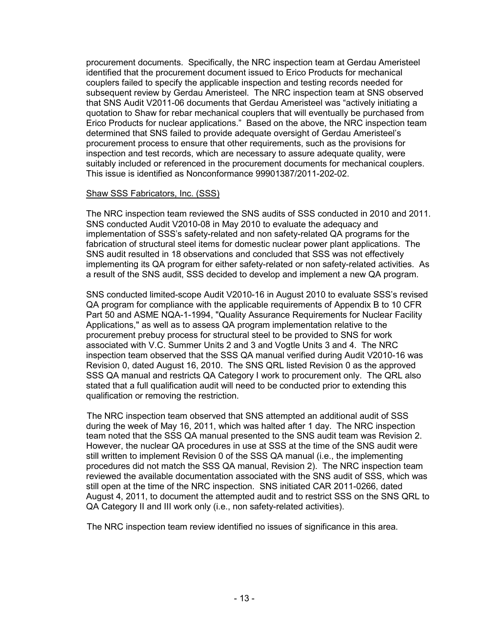procurement documents. Specifically, the NRC inspection team at Gerdau Ameristeel identified that the procurement document issued to Erico Products for mechanical couplers failed to specify the applicable inspection and testing records needed for subsequent review by Gerdau Ameristeel. The NRC inspection team at SNS observed that SNS Audit V2011-06 documents that Gerdau Ameristeel was "actively initiating a quotation to Shaw for rebar mechanical couplers that will eventually be purchased from Erico Products for nuclear applications." Based on the above, the NRC inspection team determined that SNS failed to provide adequate oversight of Gerdau Ameristeel's procurement process to ensure that other requirements, such as the provisions for inspection and test records, which are necessary to assure adequate quality, were suitably included or referenced in the procurement documents for mechanical couplers. This issue is identified as Nonconformance 99901387/2011-202-02.

# Shaw SSS Fabricators, Inc. (SSS)

The NRC inspection team reviewed the SNS audits of SSS conducted in 2010 and 2011. SNS conducted Audit V2010-08 in May 2010 to evaluate the adequacy and implementation of SSS's safety-related and non safety-related QA programs for the fabrication of structural steel items for domestic nuclear power plant applications. The SNS audit resulted in 18 observations and concluded that SSS was not effectively implementing its QA program for either safety-related or non safety-related activities. As a result of the SNS audit, SSS decided to develop and implement a new QA program.

SNS conducted limited-scope Audit V2010-16 in August 2010 to evaluate SSS's revised QA program for compliance with the applicable requirements of Appendix B to 10 CFR Part 50 and ASME NQA-1-1994, "Quality Assurance Requirements for Nuclear Facility Applications," as well as to assess QA program implementation relative to the procurement prebuy process for structural steel to be provided to SNS for work associated with V.C. Summer Units 2 and 3 and Vogtle Units 3 and 4. The NRC inspection team observed that the SSS QA manual verified during Audit V2010-16 was Revision 0, dated August 16, 2010. The SNS QRL listed Revision 0 as the approved SSS QA manual and restricts QA Category I work to procurement only. The QRL also stated that a full qualification audit will need to be conducted prior to extending this qualification or removing the restriction.

The NRC inspection team observed that SNS attempted an additional audit of SSS during the week of May 16, 2011, which was halted after 1 day. The NRC inspection team noted that the SSS QA manual presented to the SNS audit team was Revision 2. However, the nuclear QA procedures in use at SSS at the time of the SNS audit were still written to implement Revision 0 of the SSS QA manual (i.e., the implementing procedures did not match the SSS QA manual, Revision 2). The NRC inspection team reviewed the available documentation associated with the SNS audit of SSS, which was still open at the time of the NRC inspection. SNS initiated CAR 2011-0266, dated August 4, 2011, to document the attempted audit and to restrict SSS on the SNS QRL to QA Category II and III work only (i.e., non safety-related activities).

The NRC inspection team review identified no issues of significance in this area.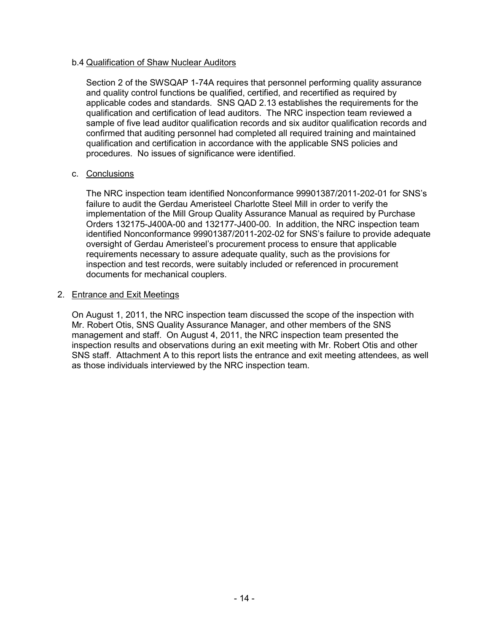# b.4 Qualification of Shaw Nuclear Auditors

Section 2 of the SWSQAP 1-74A requires that personnel performing quality assurance and quality control functions be qualified, certified, and recertified as required by applicable codes and standards. SNS QAD 2.13 establishes the requirements for the qualification and certification of lead auditors. The NRC inspection team reviewed a sample of five lead auditor qualification records and six auditor qualification records and confirmed that auditing personnel had completed all required training and maintained qualification and certification in accordance with the applicable SNS policies and procedures. No issues of significance were identified.

### c. Conclusions

The NRC inspection team identified Nonconformance 99901387/2011-202-01 for SNS's failure to audit the Gerdau Ameristeel Charlotte Steel Mill in order to verify the implementation of the Mill Group Quality Assurance Manual as required by Purchase Orders 132175-J400A-00 and 132177-J400-00. In addition, the NRC inspection team identified Nonconformance 99901387/2011-202-02 for SNS's failure to provide adequate oversight of Gerdau Ameristeel's procurement process to ensure that applicable requirements necessary to assure adequate quality, such as the provisions for inspection and test records, were suitably included or referenced in procurement documents for mechanical couplers.

### 2. Entrance and Exit Meetings

On August 1, 2011, the NRC inspection team discussed the scope of the inspection with Mr. Robert Otis, SNS Quality Assurance Manager, and other members of the SNS management and staff. On August 4, 2011, the NRC inspection team presented the inspection results and observations during an exit meeting with Mr. Robert Otis and other SNS staff. Attachment A to this report lists the entrance and exit meeting attendees, as well as those individuals interviewed by the NRC inspection team.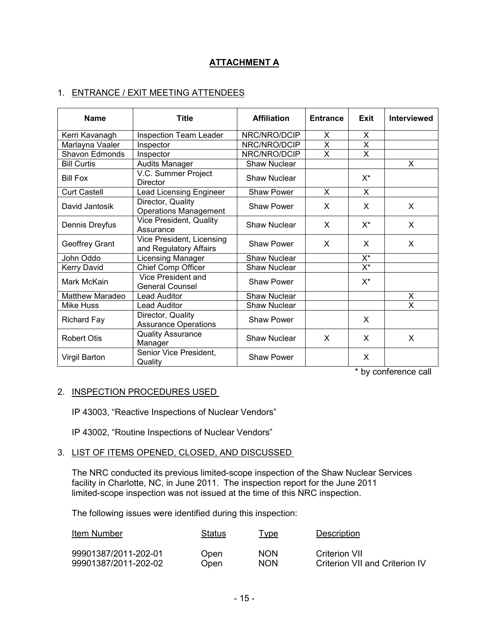# **ATTACHMENT A**

# 1. ENTRANCE / EXIT MEETING ATTENDEES

| <b>Name</b>            | <b>Title</b>                                        | <b>Affiliation</b>  | <b>Entrance</b>         | Exit                    | <b>Interviewed</b> |
|------------------------|-----------------------------------------------------|---------------------|-------------------------|-------------------------|--------------------|
| Kerri Kavanagh         | <b>Inspection Team Leader</b>                       | NRC/NRO/DCIP        | X                       | X                       |                    |
| Marlayna Vaaler        | Inspector                                           | NRC/NRO/DCIP        | $\overline{\mathsf{x}}$ | $\overline{\mathsf{x}}$ |                    |
| <b>Shavon Edmonds</b>  | Inspector                                           | NRC/NRO/DCIP        | X                       | X                       |                    |
| <b>Bill Curtis</b>     | Audits Manager                                      | Shaw Nuclear        |                         |                         | X.                 |
| <b>Bill Fox</b>        | V.C. Summer Project<br>Director                     | <b>Shaw Nuclear</b> |                         | $X^*$                   |                    |
| <b>Curt Castell</b>    | <b>Lead Licensing Engineer</b>                      | <b>Shaw Power</b>   | X                       | X                       |                    |
| David Jantosik         | Director, Quality<br><b>Operations Management</b>   | <b>Shaw Power</b>   | X                       | X                       | X                  |
| Dennis Dreyfus         | Vice President, Quality<br>Assurance                | <b>Shaw Nuclear</b> | X                       | $X^*$                   | X                  |
| <b>Geoffrey Grant</b>  | Vice President, Licensing<br>and Regulatory Affairs | <b>Shaw Power</b>   | $\times$                | X                       | X                  |
| John Oddo              | Licensing Manager                                   | <b>Shaw Nuclear</b> |                         | X*                      |                    |
| <b>Kerry David</b>     | <b>Chief Comp Officer</b>                           | <b>Shaw Nuclear</b> |                         | $X^*$                   |                    |
| Mark McKain            | Vice President and<br><b>General Counsel</b>        | <b>Shaw Power</b>   |                         | X*                      |                    |
| <b>Matthew Maradeo</b> | <b>Lead Auditor</b>                                 | <b>Shaw Nuclear</b> |                         |                         | X                  |
| Mike Huss              | <b>Lead Auditor</b>                                 | <b>Shaw Nuclear</b> |                         |                         | X                  |
| <b>Richard Fay</b>     | Director, Quality<br><b>Assurance Operations</b>    | Shaw Power          |                         | X                       |                    |
| <b>Robert Otis</b>     | <b>Quality Assurance</b><br>Manager                 | <b>Shaw Nuclear</b> | $\times$                | X                       | X                  |
| Virgil Barton          | Senior Vice President,<br>Quality                   | Shaw Power          |                         | X                       |                    |

\* by conference call

## 2. INSPECTION PROCEDURES USED

IP 43003, "Reactive Inspections of Nuclear Vendors"

IP 43002, "Routine Inspections of Nuclear Vendors"

# 3. LIST OF ITEMS OPENED, CLOSED, AND DISCUSSED

The NRC conducted its previous limited-scope inspection of the Shaw Nuclear Services facility in Charlotte, NC, in June 2011. The inspection report for the June 2011 limited-scope inspection was not issued at the time of this NRC inspection.

The following issues were identified during this inspection:

| Item Number          | Status | <u>I ype</u> | Description                    |
|----------------------|--------|--------------|--------------------------------|
| 99901387/2011-202-01 | Open   | <b>NON</b>   | Criterion VII                  |
| 99901387/2011-202-02 | Open   | <b>NON</b>   | Criterion VII and Criterion IV |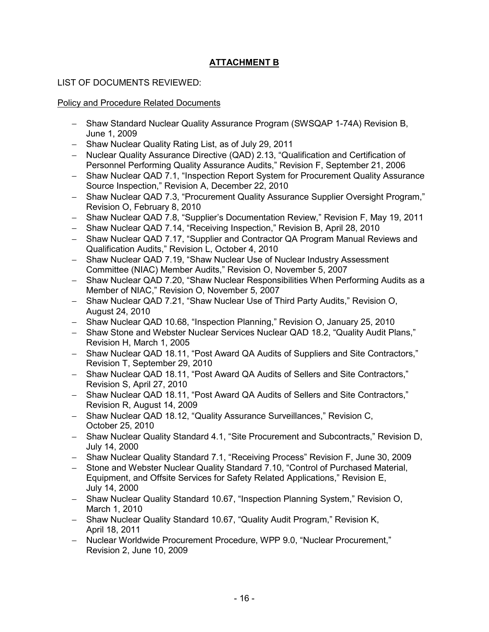# **ATTACHMENT B**

# LIST OF DOCUMENTS REVIEWED:

# Policy and Procedure Related Documents

- − Shaw Standard Nuclear Quality Assurance Program (SWSQAP 1-74A) Revision B, June 1, 2009
- − Shaw Nuclear Quality Rating List, as of July 29, 2011
- − Nuclear Quality Assurance Directive (QAD) 2.13, "Qualification and Certification of Personnel Performing Quality Assurance Audits," Revision F, September 21, 2006
- − Shaw Nuclear QAD 7.1, "Inspection Report System for Procurement Quality Assurance Source Inspection," Revision A, December 22, 2010
- − Shaw Nuclear QAD 7.3, "Procurement Quality Assurance Supplier Oversight Program," Revision O, February 8, 2010
- − Shaw Nuclear QAD 7.8, "Supplier's Documentation Review," Revision F, May 19, 2011
- − Shaw Nuclear QAD 7.14, "Receiving Inspection," Revision B, April 28, 2010
- − Shaw Nuclear QAD 7.17, "Supplier and Contractor QA Program Manual Reviews and Qualification Audits," Revision L, October 4, 2010
- − Shaw Nuclear QAD 7.19, "Shaw Nuclear Use of Nuclear Industry Assessment Committee (NIAC) Member Audits," Revision O, November 5, 2007
- − Shaw Nuclear QAD 7.20, "Shaw Nuclear Responsibilities When Performing Audits as a Member of NIAC," Revision O, November 5, 2007
- − Shaw Nuclear QAD 7.21, "Shaw Nuclear Use of Third Party Audits," Revision O, August 24, 2010
- − Shaw Nuclear QAD 10.68, "Inspection Planning," Revision O, January 25, 2010
- − Shaw Stone and Webster Nuclear Services Nuclear QAD 18.2, "Quality Audit Plans," Revision H, March 1, 2005
- − Shaw Nuclear QAD 18.11, "Post Award QA Audits of Suppliers and Site Contractors," Revision T, September 29, 2010
- − Shaw Nuclear QAD 18.11, "Post Award QA Audits of Sellers and Site Contractors," Revision S, April 27, 2010
- − Shaw Nuclear QAD 18.11, "Post Award QA Audits of Sellers and Site Contractors," Revision R, August 14, 2009
- − Shaw Nuclear QAD 18.12, "Quality Assurance Surveillances," Revision C, October 25, 2010
- − Shaw Nuclear Quality Standard 4.1, "Site Procurement and Subcontracts," Revision D, July 14, 2000
- − Shaw Nuclear Quality Standard 7.1, "Receiving Process" Revision F, June 30, 2009
- − Stone and Webster Nuclear Quality Standard 7.10, "Control of Purchased Material, Equipment, and Offsite Services for Safety Related Applications," Revision E, July 14, 2000
- − Shaw Nuclear Quality Standard 10.67, "Inspection Planning System," Revision O, March 1, 2010
- − Shaw Nuclear Quality Standard 10.67, "Quality Audit Program," Revision K, April 18, 2011
- − Nuclear Worldwide Procurement Procedure, WPP 9.0, "Nuclear Procurement," Revision 2, June 10, 2009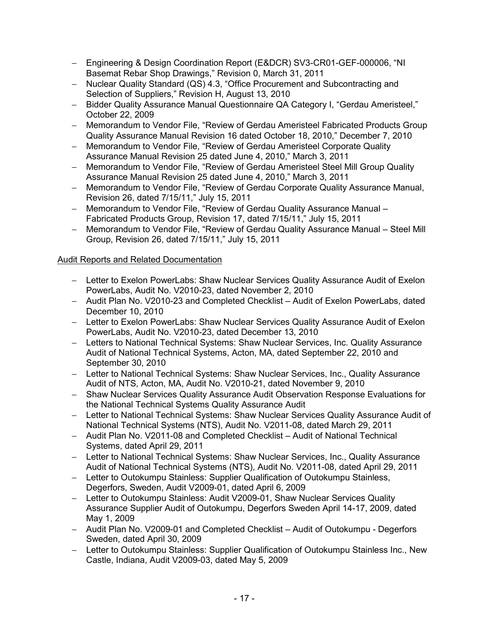- − Engineering & Design Coordination Report (E&DCR) SV3-CR01-GEF-000006, "NI Basemat Rebar Shop Drawings," Revision 0, March 31, 2011
- − Nuclear Quality Standard (QS) 4.3, "Office Procurement and Subcontracting and Selection of Suppliers," Revision H, August 13, 2010
- − Bidder Quality Assurance Manual Questionnaire QA Category I, "Gerdau Ameristeel," October 22, 2009
- − Memorandum to Vendor File, "Review of Gerdau Ameristeel Fabricated Products Group Quality Assurance Manual Revision 16 dated October 18, 2010," December 7, 2010
- − Memorandum to Vendor File, "Review of Gerdau Ameristeel Corporate Quality Assurance Manual Revision 25 dated June 4, 2010," March 3, 2011
- − Memorandum to Vendor File, "Review of Gerdau Ameristeel Steel Mill Group Quality Assurance Manual Revision 25 dated June 4, 2010," March 3, 2011
- − Memorandum to Vendor File, "Review of Gerdau Corporate Quality Assurance Manual, Revision 26, dated 7/15/11," July 15, 2011
- − Memorandum to Vendor File, "Review of Gerdau Quality Assurance Manual Fabricated Products Group, Revision 17, dated 7/15/11," July 15, 2011
- − Memorandum to Vendor File, "Review of Gerdau Quality Assurance Manual Steel Mill Group, Revision 26, dated 7/15/11," July 15, 2011

# Audit Reports and Related Documentation

- − Letter to Exelon PowerLabs: Shaw Nuclear Services Quality Assurance Audit of Exelon PowerLabs, Audit No. V2010-23, dated November 2, 2010
- − Audit Plan No. V2010-23 and Completed Checklist Audit of Exelon PowerLabs, dated December 10, 2010
- − Letter to Exelon PowerLabs: Shaw Nuclear Services Quality Assurance Audit of Exelon PowerLabs, Audit No. V2010-23, dated December 13, 2010
- − Letters to National Technical Systems: Shaw Nuclear Services, Inc. Quality Assurance Audit of National Technical Systems, Acton, MA, dated September 22, 2010 and September 30, 2010
- − Letter to National Technical Systems: Shaw Nuclear Services, Inc., Quality Assurance Audit of NTS, Acton, MA, Audit No. V2010-21, dated November 9, 2010
- − Shaw Nuclear Services Quality Assurance Audit Observation Response Evaluations for the National Technical Systems Quality Assurance Audit
- − Letter to National Technical Systems: Shaw Nuclear Services Quality Assurance Audit of National Technical Systems (NTS), Audit No. V2011-08, dated March 29, 2011
- − Audit Plan No. V2011-08 and Completed Checklist Audit of National Technical Systems, dated April 29, 2011
- − Letter to National Technical Systems: Shaw Nuclear Services, Inc., Quality Assurance Audit of National Technical Systems (NTS), Audit No. V2011-08, dated April 29, 2011
- − Letter to Outokumpu Stainless: Supplier Qualification of Outokumpu Stainless, Degerfors, Sweden, Audit V2009-01, dated April 6, 2009
- − Letter to Outokumpu Stainless: Audit V2009-01, Shaw Nuclear Services Quality Assurance Supplier Audit of Outokumpu, Degerfors Sweden April 14-17, 2009, dated May 1, 2009
- − Audit Plan No. V2009-01 and Completed Checklist Audit of Outokumpu Degerfors Sweden, dated April 30, 2009
- − Letter to Outokumpu Stainless: Supplier Qualification of Outokumpu Stainless Inc., New Castle, Indiana, Audit V2009-03, dated May 5, 2009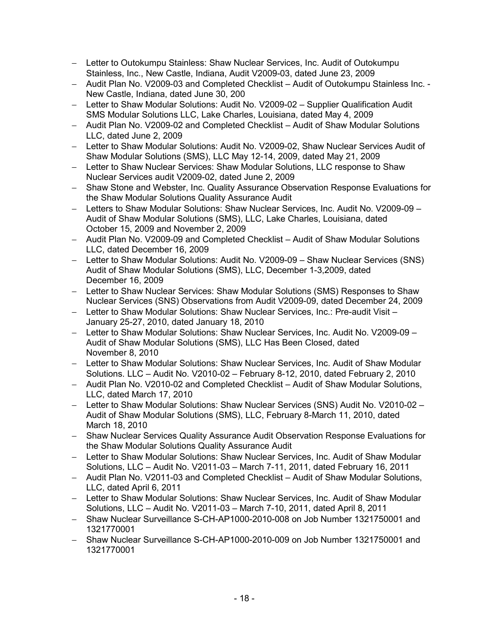- − Letter to Outokumpu Stainless: Shaw Nuclear Services, Inc. Audit of Outokumpu Stainless, Inc., New Castle, Indiana, Audit V2009-03, dated June 23, 2009
- − Audit Plan No. V2009-03 and Completed Checklist Audit of Outokumpu Stainless Inc. New Castle, Indiana, dated June 30, 200
- − Letter to Shaw Modular Solutions: Audit No. V2009-02 Supplier Qualification Audit SMS Modular Solutions LLC, Lake Charles, Louisiana, dated May 4, 2009
- − Audit Plan No. V2009-02 and Completed Checklist Audit of Shaw Modular Solutions LLC, dated June 2, 2009
- − Letter to Shaw Modular Solutions: Audit No. V2009-02, Shaw Nuclear Services Audit of Shaw Modular Solutions (SMS), LLC May 12-14, 2009, dated May 21, 2009
- − Letter to Shaw Nuclear Services: Shaw Modular Solutions, LLC response to Shaw Nuclear Services audit V2009-02, dated June 2, 2009
- − Shaw Stone and Webster, Inc. Quality Assurance Observation Response Evaluations for the Shaw Modular Solutions Quality Assurance Audit
- − Letters to Shaw Modular Solutions: Shaw Nuclear Services, Inc. Audit No. V2009-09 Audit of Shaw Modular Solutions (SMS), LLC, Lake Charles, Louisiana, dated October 15, 2009 and November 2, 2009
- − Audit Plan No. V2009-09 and Completed Checklist Audit of Shaw Modular Solutions LLC, dated December 16, 2009
- − Letter to Shaw Modular Solutions: Audit No. V2009-09 Shaw Nuclear Services (SNS) Audit of Shaw Modular Solutions (SMS), LLC, December 1-3,2009, dated December 16, 2009
- − Letter to Shaw Nuclear Services: Shaw Modular Solutions (SMS) Responses to Shaw Nuclear Services (SNS) Observations from Audit V2009-09, dated December 24, 2009
- − Letter to Shaw Modular Solutions: Shaw Nuclear Services, Inc.: Pre-audit Visit January 25-27, 2010, dated January 18, 2010
- − Letter to Shaw Modular Solutions: Shaw Nuclear Services, Inc. Audit No. V2009-09 Audit of Shaw Modular Solutions (SMS), LLC Has Been Closed, dated November 8, 2010
- − Letter to Shaw Modular Solutions: Shaw Nuclear Services, Inc. Audit of Shaw Modular Solutions. LLC – Audit No. V2010-02 – February 8-12, 2010, dated February 2, 2010
- − Audit Plan No. V2010-02 and Completed Checklist Audit of Shaw Modular Solutions, LLC, dated March 17, 2010
- − Letter to Shaw Modular Solutions: Shaw Nuclear Services (SNS) Audit No. V2010-02 Audit of Shaw Modular Solutions (SMS), LLC, February 8-March 11, 2010, dated March 18, 2010
- − Shaw Nuclear Services Quality Assurance Audit Observation Response Evaluations for the Shaw Modular Solutions Quality Assurance Audit
- − Letter to Shaw Modular Solutions: Shaw Nuclear Services, Inc. Audit of Shaw Modular Solutions, LLC – Audit No. V2011-03 – March 7-11, 2011, dated February 16, 2011
- − Audit Plan No. V2011-03 and Completed Checklist Audit of Shaw Modular Solutions, LLC, dated April 6, 2011
- − Letter to Shaw Modular Solutions: Shaw Nuclear Services, Inc. Audit of Shaw Modular Solutions, LLC – Audit No. V2011-03 – March 7-10, 2011, dated April 8, 2011
- − Shaw Nuclear Surveillance S-CH-AP1000-2010-008 on Job Number 1321750001 and 1321770001
- − Shaw Nuclear Surveillance S-CH-AP1000-2010-009 on Job Number 1321750001 and 1321770001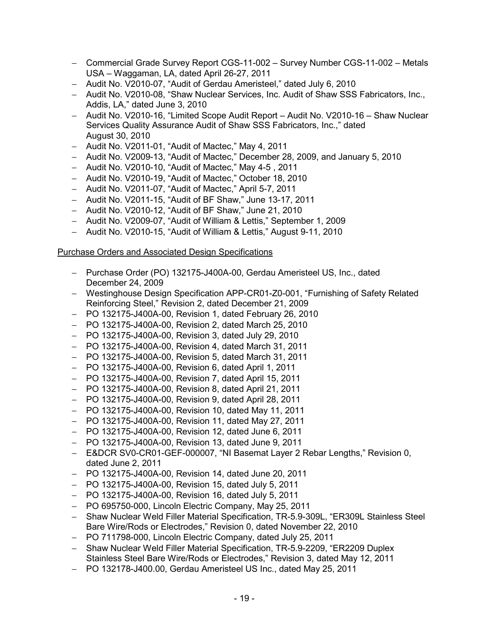- − Commercial Grade Survey Report CGS-11-002 Survey Number CGS-11-002 Metals USA – Waggaman, LA, dated April 26-27, 2011
- − Audit No. V2010-07, "Audit of Gerdau Ameristeel," dated July 6, 2010
- − Audit No. V2010-08, "Shaw Nuclear Services, Inc. Audit of Shaw SSS Fabricators, Inc., Addis, LA," dated June 3, 2010
- − Audit No. V2010-16, "Limited Scope Audit Report Audit No. V2010-16 Shaw Nuclear Services Quality Assurance Audit of Shaw SSS Fabricators, Inc.," dated August 30, 2010
- − Audit No. V2011-01, "Audit of Mactec," May 4, 2011
- − Audit No. V2009-13, "Audit of Mactec," December 28, 2009, and January 5, 2010
- − Audit No. V2010-10, "Audit of Mactec," May 4-5 , 2011
- − Audit No. V2010-19, "Audit of Mactec," October 18, 2010
- − Audit No. V2011-07, "Audit of Mactec," April 5-7, 2011
- − Audit No. V2011-15, "Audit of BF Shaw," June 13-17, 2011
- − Audit No. V2010-12, "Audit of BF Shaw," June 21, 2010
- − Audit No. V2009-07, "Audit of William & Lettis," September 1, 2009
- − Audit No. V2010-15, "Audit of William & Lettis," August 9-11, 2010

### Purchase Orders and Associated Design Specifications

- − Purchase Order (PO) 132175-J400A-00, Gerdau Ameristeel US, Inc., dated December 24, 2009
- − Westinghouse Design Specification APP-CR01-Z0-001, "Furnishing of Safety Related Reinforcing Steel," Revision 2, dated December 21, 2009
- − PO 132175-J400A-00, Revision 1, dated February 26, 2010
- − PO 132175-J400A-00, Revision 2, dated March 25, 2010
- − PO 132175-J400A-00, Revision 3, dated July 29, 2010
- − PO 132175-J400A-00, Revision 4, dated March 31, 2011
- − PO 132175-J400A-00, Revision 5, dated March 31, 2011
- − PO 132175-J400A-00, Revision 6, dated April 1, 2011
- − PO 132175-J400A-00, Revision 7, dated April 15, 2011
- − PO 132175-J400A-00, Revision 8, dated April 21, 2011
- − PO 132175-J400A-00, Revision 9, dated April 28, 2011
- − PO 132175-J400A-00, Revision 10, dated May 11, 2011
- − PO 132175-J400A-00, Revision 11, dated May 27, 2011
- − PO 132175-J400A-00, Revision 12, dated June 6, 2011
- − PO 132175-J400A-00, Revision 13, dated June 9, 2011
- − E&DCR SV0-CR01-GEF-000007, "NI Basemat Layer 2 Rebar Lengths," Revision 0, dated June 2, 2011
- − PO 132175-J400A-00, Revision 14, dated June 20, 2011
- − PO 132175-J400A-00, Revision 15, dated July 5, 2011
- − PO 132175-J400A-00, Revision 16, dated July 5, 2011
- − PO 695750-000, Lincoln Electric Company, May 25, 2011
- − Shaw Nuclear Weld Filler Material Specification, TR-5.9-309L, "ER309L Stainless Steel Bare Wire/Rods or Electrodes," Revision 0, dated November 22, 2010
- − PO 711798-000, Lincoln Electric Company, dated July 25, 2011
- − Shaw Nuclear Weld Filler Material Specification, TR-5.9-2209, "ER2209 Duplex Stainless Steel Bare Wire/Rods or Electrodes," Revision 3, dated May 12, 2011
- − PO 132178-J400.00, Gerdau Ameristeel US Inc., dated May 25, 2011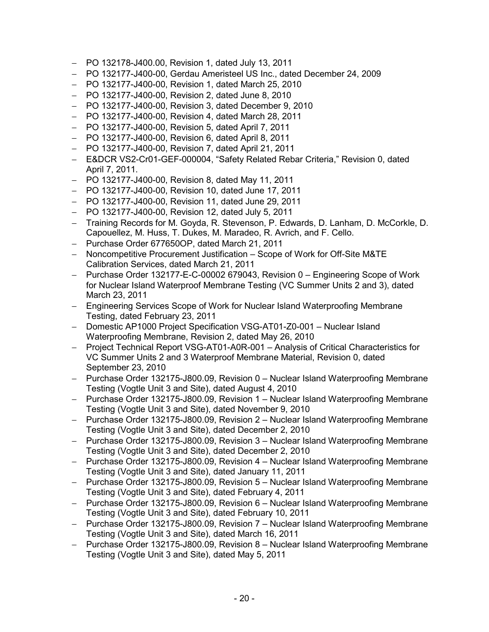- − PO 132178-J400.00, Revision 1, dated July 13, 2011
- − PO 132177-J400-00, Gerdau Ameristeel US Inc., dated December 24, 2009
- − PO 132177-J400-00, Revision 1, dated March 25, 2010
- − PO 132177-J400-00, Revision 2, dated June 8, 2010
- − PO 132177-J400-00, Revision 3, dated December 9, 2010
- − PO 132177-J400-00, Revision 4, dated March 28, 2011
- − PO 132177-J400-00, Revision 5, dated April 7, 2011
- − PO 132177-J400-00, Revision 6, dated April 8, 2011
- − PO 132177-J400-00, Revision 7, dated April 21, 2011
- − E&DCR VS2-Cr01-GEF-000004, "Safety Related Rebar Criteria," Revision 0, dated April 7, 2011.
- − PO 132177-J400-00, Revision 8, dated May 11, 2011
- − PO 132177-J400-00, Revision 10, dated June 17, 2011
- − PO 132177-J400-00, Revision 11, dated June 29, 2011
- − PO 132177-J400-00, Revision 12, dated July 5, 2011
- − Training Records for M. Goyda, R. Stevenson, P. Edwards, D. Lanham, D. McCorkle, D. Capouellez, M. Huss, T. Dukes, M. Maradeo, R. Avrich, and F. Cello.
- − Purchase Order 677650OP, dated March 21, 2011
- − Noncompetitive Procurement Justification Scope of Work for Off-Site M&TE Calibration Services, dated March 21, 2011
- − Purchase Order 132177-E-C-00002 679043, Revision 0 Engineering Scope of Work for Nuclear Island Waterproof Membrane Testing (VC Summer Units 2 and 3), dated March 23, 2011
- − Engineering Services Scope of Work for Nuclear Island Waterproofing Membrane Testing, dated February 23, 2011
- − Domestic AP1000 Project Specification VSG-AT01-Z0-001 Nuclear Island Waterproofing Membrane, Revision 2, dated May 26, 2010
- − Project Technical Report VSG-AT01-A0R-001 Analysis of Critical Characteristics for VC Summer Units 2 and 3 Waterproof Membrane Material, Revision 0, dated September 23, 2010
- − Purchase Order 132175-J800.09, Revision 0 Nuclear Island Waterproofing Membrane Testing (Vogtle Unit 3 and Site), dated August 4, 2010
- − Purchase Order 132175-J800.09, Revision 1 Nuclear Island Waterproofing Membrane Testing (Vogtle Unit 3 and Site), dated November 9, 2010
- − Purchase Order 132175-J800.09, Revision 2 Nuclear Island Waterproofing Membrane Testing (Vogtle Unit 3 and Site), dated December 2, 2010
- − Purchase Order 132175-J800.09, Revision 3 Nuclear Island Waterproofing Membrane Testing (Vogtle Unit 3 and Site), dated December 2, 2010
- − Purchase Order 132175-J800.09, Revision 4 Nuclear Island Waterproofing Membrane Testing (Vogtle Unit 3 and Site), dated January 11, 2011
- − Purchase Order 132175-J800.09, Revision 5 Nuclear Island Waterproofing Membrane Testing (Vogtle Unit 3 and Site), dated February 4, 2011
- − Purchase Order 132175-J800.09, Revision 6 Nuclear Island Waterproofing Membrane Testing (Vogtle Unit 3 and Site), dated February 10, 2011
- − Purchase Order 132175-J800.09, Revision 7 Nuclear Island Waterproofing Membrane Testing (Vogtle Unit 3 and Site), dated March 16, 2011
- − Purchase Order 132175-J800.09, Revision 8 Nuclear Island Waterproofing Membrane Testing (Vogtle Unit 3 and Site), dated May 5, 2011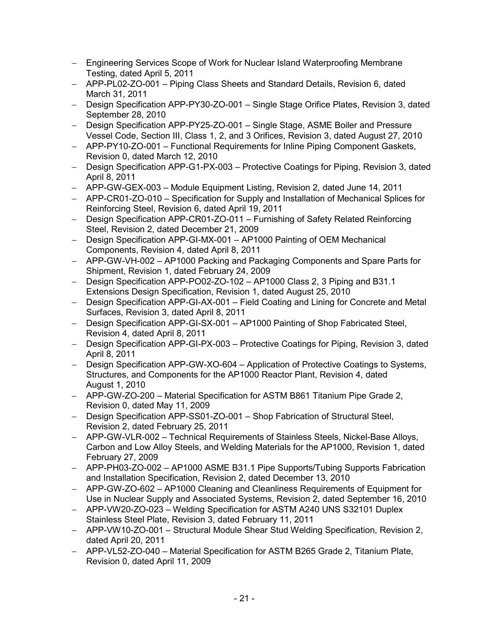- − Engineering Services Scope of Work for Nuclear Island Waterproofing Membrane Testing, dated April 5, 2011
- − APP-PL02-ZO-001 Piping Class Sheets and Standard Details, Revision 6, dated March 31, 2011
- − Design Specification APP-PY30-ZO-001 Single Stage Orifice Plates, Revision 3, dated September 28, 2010
- − Design Specification APP-PY25-ZO-001 Single Stage, ASME Boiler and Pressure Vessel Code, Section III, Class 1, 2, and 3 Orifices, Revision 3, dated August 27, 2010
- − APP-PY10-ZO-001 Functional Requirements for Inline Piping Component Gaskets, Revision 0, dated March 12, 2010
- − Design Specification APP-G1-PX-003 Protective Coatings for Piping, Revision 3, dated April 8, 2011
- − APP-GW-GEX-003 Module Equipment Listing, Revision 2, dated June 14, 2011
- − APP-CR01-ZO-010 Specification for Supply and Installation of Mechanical Splices for Reinforcing Steel, Revision 6, dated April 19, 2011
- − Design Specification APP-CR01-ZO-011 Furnishing of Safety Related Reinforcing Steel, Revision 2, dated December 21, 2009
- − Design Specification APP-GI-MX-001 AP1000 Painting of OEM Mechanical Components, Revision 4, dated April 8, 2011
- − APP-GW-VH-002 AP1000 Packing and Packaging Components and Spare Parts for Shipment, Revision 1, dated February 24, 2009
- − Design Specification APP-PO02-ZO-102 AP1000 Class 2, 3 Piping and B31.1 Extensions Design Specification, Revision 1, dated August 25, 2010
- − Design Specification APP-GI-AX-001 Field Coating and Lining for Concrete and Metal Surfaces, Revision 3, dated April 8, 2011
- − Design Specification APP-GI-SX-001 AP1000 Painting of Shop Fabricated Steel, Revision 4, dated April 8, 2011
- − Design Specification APP-GI-PX-003 Protective Coatings for Piping, Revision 3, dated April 8, 2011
- − Design Specification APP-GW-XO-604 Application of Protective Coatings to Systems, Structures, and Components for the AP1000 Reactor Plant, Revision 4, dated August 1, 2010
- − APP-GW-ZO-200 Material Specification for ASTM B861 Titanium Pipe Grade 2, Revision 0, dated May 11, 2009
- − Design Specification APP-SS01-ZO-001 Shop Fabrication of Structural Steel, Revision 2, dated February 25, 2011
- − APP-GW-VLR-002 Technical Requirements of Stainless Steels, Nickel-Base Alloys, Carbon and Low Alloy Steels, and Welding Materials for the AP1000, Revision 1, dated February 27, 2009
- − APP-PH03-ZO-002 AP1000 ASME B31.1 Pipe Supports/Tubing Supports Fabrication and Installation Specification, Revision 2, dated December 13, 2010
- − APP-GW-ZO-602 AP1000 Cleaning and Cleanliness Requirements of Equipment for Use in Nuclear Supply and Associated Systems, Revision 2, dated September 16, 2010
- − APP-VW20-ZO-023 Welding Specification for ASTM A240 UNS S32101 Duplex Stainless Steel Plate, Revision 3, dated February 11, 2011
- − APP-VW10-ZO-001 Structural Module Shear Stud Welding Specification, Revision 2, dated April 20, 2011
- − APP-VL52-ZO-040 Material Specification for ASTM B265 Grade 2, Titanium Plate, Revision 0, dated April 11, 2009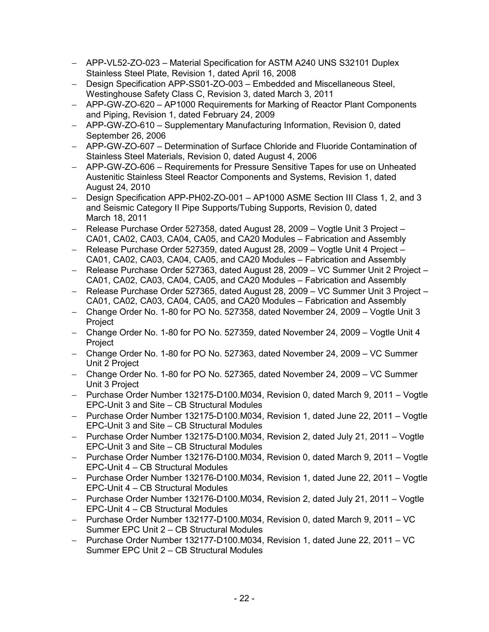- − APP-VL52-ZO-023 Material Specification for ASTM A240 UNS S32101 Duplex Stainless Steel Plate, Revision 1, dated April 16, 2008
- − Design Specification APP-SS01-ZO-003 Embedded and Miscellaneous Steel, Westinghouse Safety Class C, Revision 3, dated March 3, 2011
- − APP-GW-ZO-620 AP1000 Requirements for Marking of Reactor Plant Components and Piping, Revision 1, dated February 24, 2009
- − APP-GW-ZO-610 Supplementary Manufacturing Information, Revision 0, dated September 26, 2006
- − APP-GW-ZO-607 Determination of Surface Chloride and Fluoride Contamination of Stainless Steel Materials, Revision 0, dated August 4, 2006
- − APP-GW-ZO-606 Requirements for Pressure Sensitive Tapes for use on Unheated Austenitic Stainless Steel Reactor Components and Systems, Revision 1, dated August 24, 2010
- − Design Specification APP-PH02-ZO-001 AP1000 ASME Section III Class 1, 2, and 3 and Seismic Category II Pipe Supports/Tubing Supports, Revision 0, dated March 18, 2011
- − Release Purchase Order 527358, dated August 28, 2009 Vogtle Unit 3 Project CA01, CA02, CA03, CA04, CA05, and CA20 Modules – Fabrication and Assembly
- − Release Purchase Order 527359, dated August 28, 2009 Vogtle Unit 4 Project CA01, CA02, CA03, CA04, CA05, and CA20 Modules – Fabrication and Assembly
- − Release Purchase Order 527363, dated August 28, 2009 VC Summer Unit 2 Project CA01, CA02, CA03, CA04, CA05, and CA20 Modules – Fabrication and Assembly
- − Release Purchase Order 527365, dated August 28, 2009 VC Summer Unit 3 Project CA01, CA02, CA03, CA04, CA05, and CA20 Modules – Fabrication and Assembly
- − Change Order No. 1-80 for PO No. 527358, dated November 24, 2009 Vogtle Unit 3 Project
- − Change Order No. 1-80 for PO No. 527359, dated November 24, 2009 Vogtle Unit 4 Project
- − Change Order No. 1-80 for PO No. 527363, dated November 24, 2009 VC Summer Unit 2 Project
- − Change Order No. 1-80 for PO No. 527365, dated November 24, 2009 VC Summer Unit 3 Project
- − Purchase Order Number 132175-D100.M034, Revision 0, dated March 9, 2011 Vogtle EPC-Unit 3 and Site – CB Structural Modules
- − Purchase Order Number 132175-D100.M034, Revision 1, dated June 22, 2011 Vogtle EPC-Unit 3 and Site – CB Structural Modules
- − Purchase Order Number 132175-D100.M034, Revision 2, dated July 21, 2011 Vogtle EPC-Unit 3 and Site – CB Structural Modules
- − Purchase Order Number 132176-D100.M034, Revision 0, dated March 9, 2011 Vogtle EPC-Unit 4 – CB Structural Modules
- − Purchase Order Number 132176-D100.M034, Revision 1, dated June 22, 2011 Vogtle EPC-Unit 4 – CB Structural Modules
- − Purchase Order Number 132176-D100.M034, Revision 2, dated July 21, 2011 Vogtle EPC-Unit 4 – CB Structural Modules
- − Purchase Order Number 132177-D100.M034, Revision 0, dated March 9, 2011 VC Summer EPC Unit 2 – CB Structural Modules
- − Purchase Order Number 132177-D100.M034, Revision 1, dated June 22, 2011 VC Summer EPC Unit 2 – CB Structural Modules